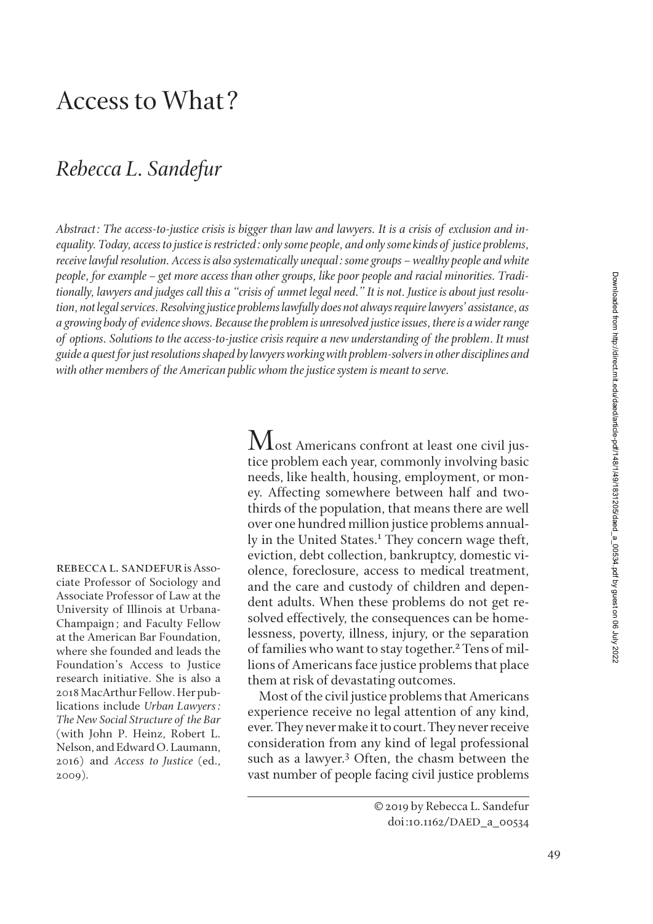## Access to What?

## *Rebecca L. Sandefur*

*Abstract: The access-to-justice crisis is bigger than law and lawyers. It is a crisis of exclusion and inequality. Today, access to justice is restricted: only some people, and only some kinds of justice problems, receive lawful resolution. Access is also systematically unequal: some groups–wealthy people and white people, for example–get more access than other groups, like poor people and racial minorities. Traditionally, lawyers and judges call this a "crisis of unmet legal need." It is not. Justice is about just resolution, not legal services. Resolving justice problems lawfully does not always require lawyers' assistance, as a growing body of evidence shows. Because the problem is unresolved justice issues, there is a wider range of options. Solutions to the access-to-justice crisis require a new understanding of the problem. It must guide a quest for just resolutions shaped by lawyers working with problem-solvers in other disciplines and*  with other members of the American public whom the justice system is meant to serve.

rebecca l. sandefur is Associate Professor of Sociology and Associate Professor of Law at the University of Illinois at Urbana-Champaign; and Faculty Fellow at the American Bar Foundation, where she founded and leads the Foundation's Access to Justice research initiative. She is also a 2018 MacArthur Fellow. Her publications include *Urban Lawyers: The New Social Structure of the Bar* (with John P. Heinz, Robert L. Nelson, and Edward O. Laumann, 2016) and *Access to Justice* (ed., 2009).

 $\operatorname{M}_{\operatorname{ost}}$  Americans confront at least one civil justice problem each year, commonly involving basic needs, like health, housing, employment, or money. Affecting somewhere between half and twothirds of the population, that means there are well over one hundred million justice problems annually in the United States.<sup>1</sup> They concern wage theft, eviction, debt collection, bankruptcy, domestic violence, foreclosure, access to medical treatment, and the care and custody of children and dependent adults. When these problems do not get resolved effectively, the consequences can be homelessness, poverty, illness, injury, or the separation of families who want to stay together.<sup>2</sup> Tens of millions of Americans face justice problems that place them at risk of devastating outcomes.

Most of the civil justice problems that Americans experience receive no legal attention of any kind, ever. They never make it to court. They never receive consideration from any kind of legal professional such as a lawyer.<sup>3</sup> Often, the chasm between the vast number of people facing civil justice problems

<sup>© 2019</sup> by Rebecca L. Sandefur doi:10.1162/DAED\_a\_00534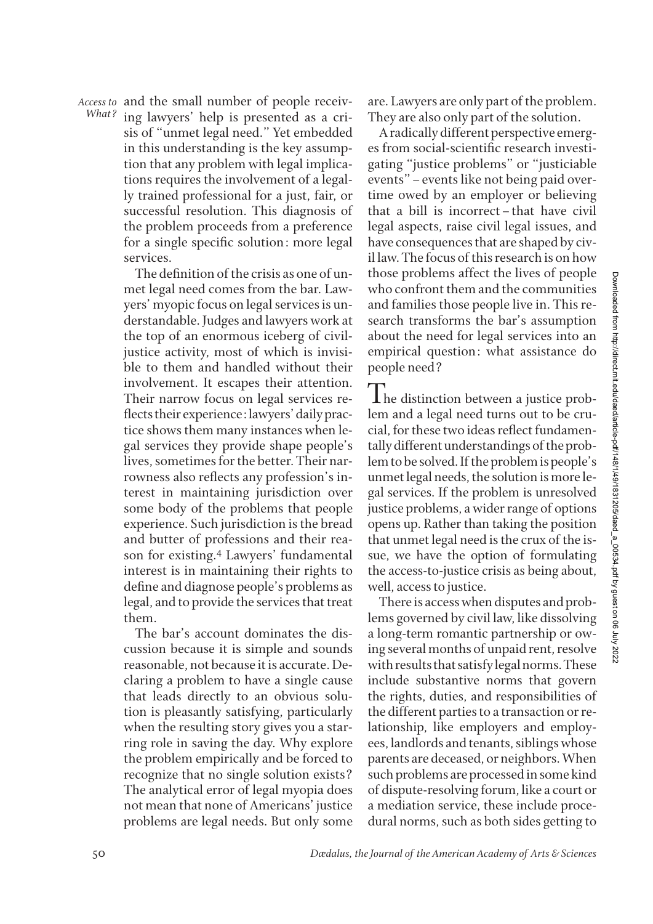*Access to* and the small number of people receiv-<br>*What?* ing lawyers' help is presented as a cri- $What?$  ing lawyers' help is presented as a crisis of "unmet legal need." Yet embedded in this understanding is the key assumption that any problem with legal implications requires the involvement of a legally trained professional for a just, fair, or successful resolution. This diagnosis of the problem proceeds from a preference for a single specific solution: more legal services.

> The definition of the crisis as one of unmet legal need comes from the bar. Lawyers' myopic focus on legal services is understandable. Judges and lawyers work at the top of an enormous iceberg of civiljustice activity, most of which is invisible to them and handled without their involvement. It escapes their attention. Their narrow focus on legal services reflects their experience: lawyers' daily practice shows them many instances when legal services they provide shape people's lives, sometimes for the better. Their narrowness also reflects any profession's interest in maintaining jurisdiction over some body of the problems that people experience. Such jurisdiction is the bread and butter of professions and their reason for existing.4 Lawyers' fundamental interest is in maintaining their rights to define and diagnose people's problems as legal, and to provide the services that treat them.

> The bar's account dominates the discussion because it is simple and sounds reasonable, not because it is accurate. Declaring a problem to have a single cause that leads directly to an obvious solution is pleasantly satisfying, particularly when the resulting story gives you a starring role in saving the day. Why explore the problem empirically and be forced to recognize that no single solution exists? The analytical error of legal myopia does not mean that none of Americans' justice problems are legal needs. But only some

are. Lawyers are only part of the problem. They are also only part of the solution.

A radically different perspective emerges from social-scientific research investigating "justice problems" or "justiciable events"–events like not being paid overtime owed by an employer or believing that a bill is incorrect–that have civil legal aspects, raise civil legal issues, and have consequences that are shaped by civil law. The focus of this research is on how those problems affect the lives of people who confront them and the communities and families those people live in. This research transforms the bar's assumption about the need for legal services into an empirical question: what assistance do people need?

The distinction between a justice problem and a legal need turns out to be crucial, for these two ideas reflect fundamentally different understandings of the problem to be solved. If the problem is people's unmet legal needs, the solution is more legal services. If the problem is unresolved justice problems, a wider range of options opens up. Rather than taking the position that unmet legal need is the crux of the issue, we have the option of formulating the access-to-justice crisis as being about, well, access to justice.

There is access when disputes and problems governed by civil law, like dissolving a long-term romantic partnership or owing several months of unpaid rent, resolve with results that satisfy legal norms. These include substantive norms that govern the rights, duties, and responsibilities of the different parties to a transaction or relationship, like employers and employees, landlords and tenants, siblings whose parents are deceased, or neighbors. When such problems are processed in some kind of dispute-resolving forum, like a court or a mediation service, these include procedural norms, such as both sides getting to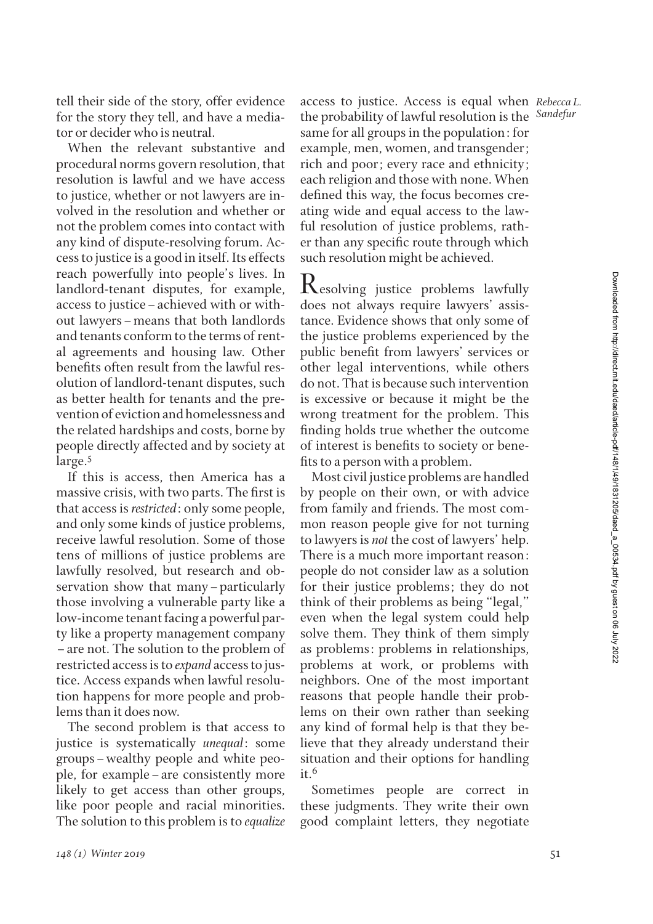tell their side of the story, offer evidence for the story they tell, and have a mediator or decider who is neutral.

When the relevant substantive and procedural norms govern resolution, that resolution is lawful and we have access to justice, whether or not lawyers are involved in the resolution and whether or not the problem comes into contact with any kind of dispute-resolving forum. Access to justice is a good in itself. Its effects reach powerfully into people's lives. In landlord-tenant disputes, for example, access to justice–achieved with or without lawyers–means that both landlords and tenants conform to the terms of rental agreements and housing law. Other benefits often result from the lawful resolution of landlord-tenant disputes, such as better health for tenants and the prevention of eviction and homelessness and the related hardships and costs, borne by people directly affected and by society at large.<sup>5</sup>

If this is access, then America has a massive crisis, with two parts. The first is that access is *restricted*: only some people, and only some kinds of justice problems, receive lawful resolution. Some of those tens of millions of justice problems are lawfully resolved, but research and observation show that many–particularly those involving a vulnerable party like a low-income tenant facing a powerful party like a property management company –are not. The solution to the problem of restricted access is to *expand* access to justice. Access expands when lawful resolution happens for more people and problems than it does now.

The second problem is that access to justice is systematically *unequal*: some groups–wealthy people and white people, for example–are consistently more likely to get access than other groups, like poor people and racial minorities. The solution to this problem is to *equalize* 

access to justice. Access is equal when Rebecca L. *Sandefur* the probability of lawful resolution is the same for all groups in the population: for example, men, women, and transgender; rich and poor; every race and ethnicity; each religion and those with none. When defined this way, the focus becomes creating wide and equal access to the lawful resolution of justice problems, rather than any specific route through which such resolution might be achieved.

Resolving justice problems lawfully does not always require lawyers' assistance. Evidence shows that only some of the justice problems experienced by the public benefit from lawyers' services or other legal interventions, while others do not. That is because such intervention is excessive or because it might be the wrong treatment for the problem. This finding holds true whether the outcome of interest is benefits to society or benefits to a person with a problem.

Most civil justice problems are handled by people on their own, or with advice from family and friends. The most common reason people give for not turning to lawyers is *not* the cost of lawyers' help. There is a much more important reason: people do not consider law as a solution for their justice problems; they do not think of their problems as being "legal," even when the legal system could help solve them. They think of them simply as problems: problems in relationships, problems at work, or problems with neighbors. One of the most important reasons that people handle their problems on their own rather than seeking any kind of formal help is that they believe that they already understand their situation and their options for handling  $it.^6$ 

Sometimes people are correct in these judgments. They write their own good complaint letters, they negotiate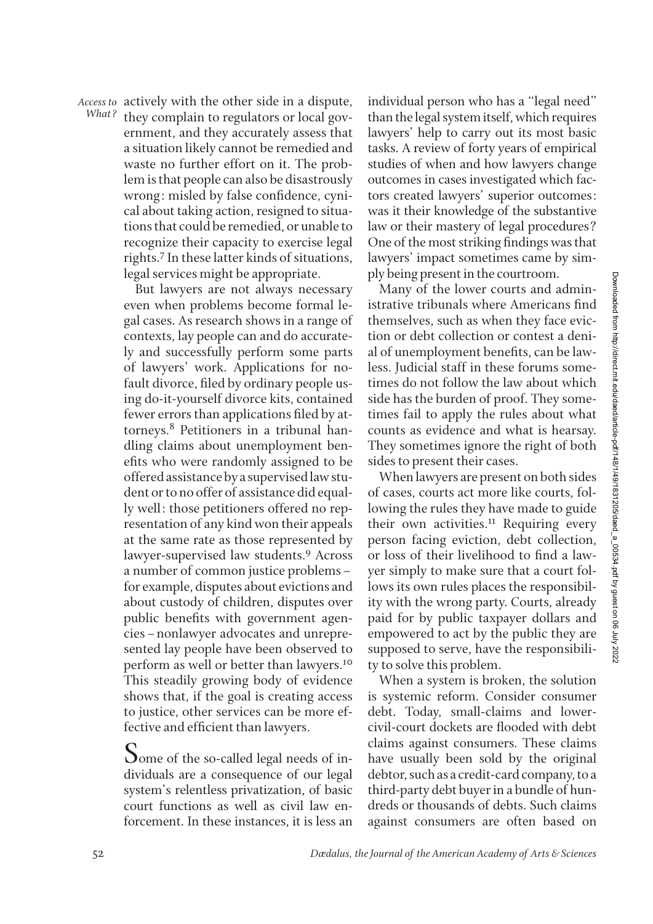*Access to* actively with the other side in a dispute,<br>*What?* they complain to regulators or local gov-

What? they complain to regulators or local government, and they accurately assess that a situation likely cannot be remedied and waste no further effort on it. The problem is that people can also be disastrously wrong: misled by false confidence, cynical about taking action, resigned to situations that could be remedied, or unable to recognize their capacity to exercise legal rights.7 In these latter kinds of situations, legal services might be appropriate.

> But lawyers are not always necessary even when problems become formal legal cases. As research shows in a range of contexts, lay people can and do accurately and successfully perform some parts of lawyers' work. Applications for nofault divorce, filed by ordinary people using do-it-yourself divorce kits, contained fewer errors than applications filed by attorneys.8 Petitioners in a tribunal handling claims about unemployment benefits who were randomly assigned to be offered assistance by a supervised law student or to no offer of assistance did equally well: those petitioners offered no representation of any kind won their appeals at the same rate as those represented by lawyer-supervised law students.9 Across a number of common justice problems– for example, disputes about evictions and about custody of children, disputes over public benefits with government agencies–nonlawyer advocates and unrepresented lay people have been observed to perform as well or better than lawyers.10 This steadily growing body of evidence shows that, if the goal is creating access to justice, other services can be more effective and efficient than lawyers.

> Some of the so-called legal needs of individuals are a consequence of our legal system's relentless privatization, of basic court functions as well as civil law enforcement. In these instances, it is less an

individual person who has a "legal need" than the legal system itself, which requires lawyers' help to carry out its most basic tasks. A review of forty years of empirical studies of when and how lawyers change outcomes in cases investigated which factors created lawyers' superior outcomes: was it their knowledge of the substantive law or their mastery of legal procedures? One of the most striking findings was that lawyers' impact sometimes came by simply being present in the courtroom.

Many of the lower courts and administrative tribunals where Americans find themselves, such as when they face eviction or debt collection or contest a denial of unemployment benefits, can be lawless. Judicial staff in these forums sometimes do not follow the law about which side has the burden of proof. They sometimes fail to apply the rules about what counts as evidence and what is hearsay. They sometimes ignore the right of both sides to present their cases.

When lawyers are present on both sides of cases, courts act more like courts, following the rules they have made to guide their own activities.<sup>11</sup> Requiring every person facing eviction, debt collection, or loss of their livelihood to find a lawyer simply to make sure that a court follows its own rules places the responsibility with the wrong party. Courts, already paid for by public taxpayer dollars and empowered to act by the public they are supposed to serve, have the responsibility to solve this problem.

When a system is broken, the solution is systemic reform. Consider consumer debt. Today, small-claims and lowercivil-court dockets are flooded with debt claims against consumers. These claims have usually been sold by the original debtor, such as a credit-card company, to a third-party debt buyer in a bundle of hundreds or thousands of debts. Such claims against consumers are often based on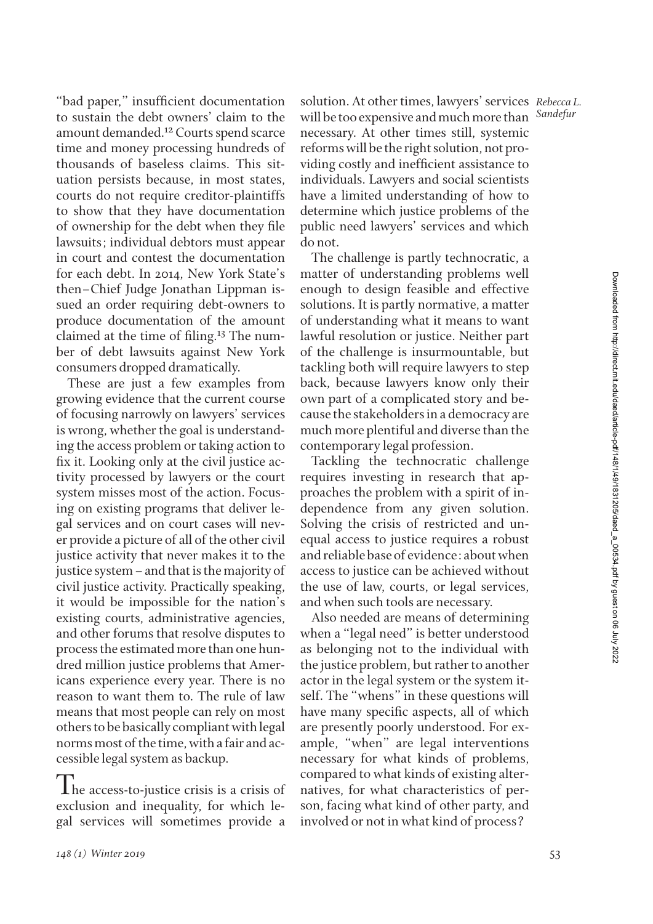"bad paper," insufficient documentation to sustain the debt owners' claim to the amount demanded.12 Courts spend scarce time and money processing hundreds of thousands of baseless claims. This situation persists because, in most states, courts do not require creditor-plaintiffs to show that they have documentation of ownership for the debt when they file lawsuits; individual debtors must appear in court and contest the documentation for each debt. In 2014, New York State's then–Chief Judge Jonathan Lippman issued an order requiring debt-owners to produce documentation of the amount claimed at the time of filing.13 The number of debt lawsuits against New York consumers dropped dramatically.

These are just a few examples from growing evidence that the current course of focusing narrowly on lawyers' services is wrong, whether the goal is understanding the access problem or taking action to fix it. Looking only at the civil justice activity processed by lawyers or the court system misses most of the action. Focusing on existing programs that deliver legal services and on court cases will never provide a picture of all of the other civil justice activity that never makes it to the justice system–and that is the majority of civil justice activity. Practically speaking, it would be impossible for the nation's existing courts, administrative agencies, and other forums that resolve disputes to process the estimated more than one hundred million justice problems that Americans experience every year. There is no reason to want them to. The rule of law means that most people can rely on most others to be basically compliant with legal norms most of the time, with a fair and accessible legal system as backup.

The access-to-justice crisis is a crisis of exclusion and inequality, for which legal services will sometimes provide a

solution. At other times, lawyers' services Rebecca L. *Sandefur* will be too expensive and much more than necessary. At other times still, systemic reforms will be the right solution, not providing costly and inefficient assistance to individuals. Lawyers and social scientists have a limited understanding of how to determine which justice problems of the public need lawyers' services and which do not.

The challenge is partly technocratic, a matter of understanding problems well enough to design feasible and effective solutions. It is partly normative, a matter of understanding what it means to want lawful resolution or justice. Neither part of the challenge is insurmountable, but tackling both will require lawyers to step back, because lawyers know only their own part of a complicated story and because the stakeholders in a democracy are much more plentiful and diverse than the contemporary legal profession.

Tackling the technocratic challenge requires investing in research that approaches the problem with a spirit of independence from any given solution. Solving the crisis of restricted and unequal access to justice requires a robust and reliable base of evidence: about when access to justice can be achieved without the use of law, courts, or legal services, and when such tools are necessary.

Also needed are means of determining when a "legal need" is better understood as belonging not to the individual with the justice problem, but rather to another actor in the legal system or the system itself. The "whens" in these questions will have many specific aspects, all of which are presently poorly understood. For example, "when" are legal interventions necessary for what kinds of problems, compared to what kinds of existing alternatives, for what characteristics of person, facing what kind of other party, and involved or not in what kind of process?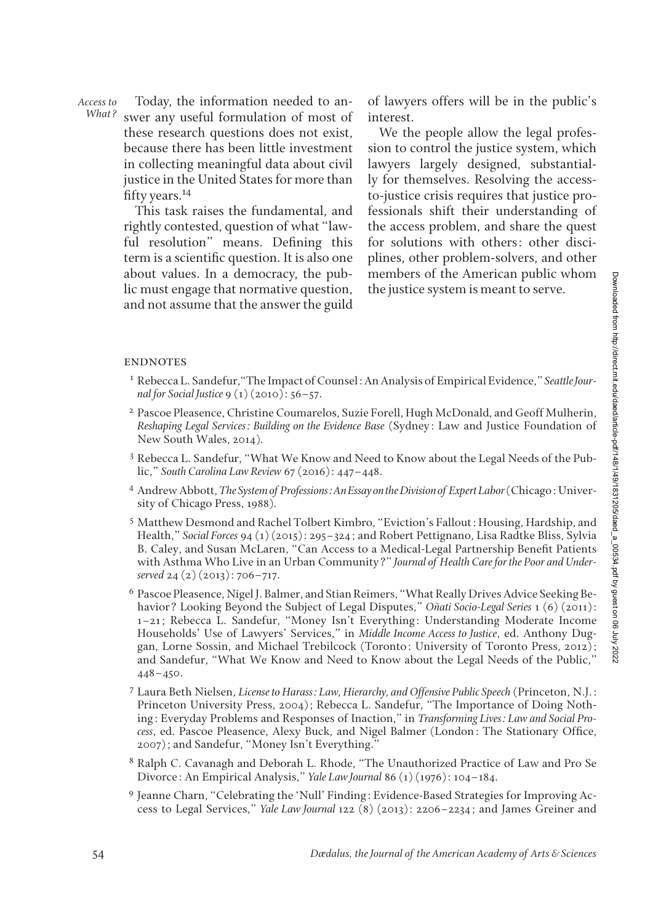*Access to* 

*ccess to* Today, the information needed to an-<br><sup>What?</sup> swer any useful formulation of most of these research questions does not exist, because there has been little investment in collecting meaningful data about civil justice in the United States for more than fifty years.14

> This task raises the fundamental, and rightly contested, question of what "lawful resolution" means. Defining this term is a scientific question. It is also one about values. In a democracy, the public must engage that normative question, and not assume that the answer the guild

of lawyers offers will be in the public's interest.

We the people allow the legal profession to control the justice system, which lawyers largely designed, substantially for themselves. Resolving the accessto-justice crisis requires that justice professionals shift their understanding of the access problem, and share the quest for solutions with others: other disciplines, other problem-solvers, and other members of the American public whom the justice system is meant to serve.

## **ENDNOTES**

- <sup>1</sup> Rebecca L. Sandefur,"The Impact of Counsel: An Analysis of Empirical Evidence," *Seattle Journal for Social Justice* 9 (1) (2010): 56–57.
- <sup>2</sup> Pascoe Pleasence, Christine Coumarelos, Suzie Forell, Hugh McDonald, and Geoff Mulherin, *Reshaping Legal Services: Building on the Evidence Base* (Sydney: Law and Justice Foundation of New South Wales, 2014).
- <sup>3</sup> Rebecca L. Sandefur, "What We Know and Need to Know about the Legal Needs of the Public," *South Carolina Law Review* 67 (2016): 447–448.
- 4 Andrew Abbott, *The System of Professions: An Essay on the Division of Expert Labor* (Chicago: University of Chicago Press, 1988).
- <sup>5</sup> Matthew Desmond and Rachel Tolbert Kimbro, "Eviction's Fallout: Housing, Hardship, and Health," *Social Forces* 94 (1) (2015): 295–324; and Robert Pettignano, Lisa Radtke Bliss, Sylvia B. Caley, and Susan McLaren, "Can Access to a Medical-Legal Partnership Benefit Patients with Asthma Who Live in an Urban Community?" *Journal of Health Care for the Poor and Underserved* 24 (2) (2013): 706–717.
- <sup>6</sup> Pascoe Pleasence, Nigel J. Balmer, and Stian Reimers, "What Really Drives Advice Seeking Behavior? Looking Beyond the Subject of Legal Disputes," *Oñati Socio-Legal Series* 1 (6) (2011): 1–21; Rebecca L. Sandefur, "Money Isn't Everything: Understanding Moderate Income Households' Use of Lawyers' Services," in *Middle Income Access to Justice*, ed. Anthony Duggan, Lorne Sossin, and Michael Trebilcock (Toronto: University of Toronto Press, 2012); and Sandefur, "What We Know and Need to Know about the Legal Needs of the Public," 448–450.
- <sup>7</sup> Laura Beth Nielsen, *License to Harass: Law, Hierarchy, and Offensive Public Speech* (Princeton, N.J.: Princeton University Press, 2004); Rebecca L. Sandefur, "The Importance of Doing Nothing: Everyday Problems and Responses of Inaction," in *Transforming Lives: Law and Social Process*, ed. Pascoe Pleasence, Alexy Buck, and Nigel Balmer (London: The Stationary Office, 2007); and Sandefur, "Money Isn't Everything."
- <sup>8</sup> Ralph C. Cavanagh and Deborah L. Rhode, "The Unauthorized Practice of Law and Pro Se Divorce: An Empirical Analysis," *Yale Law Journal* 86 (1) (1976): 104–184.
- <sup>9</sup> Jeanne Charn, "Celebrating the 'Null' Finding: Evidence-Based Strategies for Improving Access to Legal Services," *Yale Law Journal* 122 (8) (2013): 2206–2234; and James Greiner and